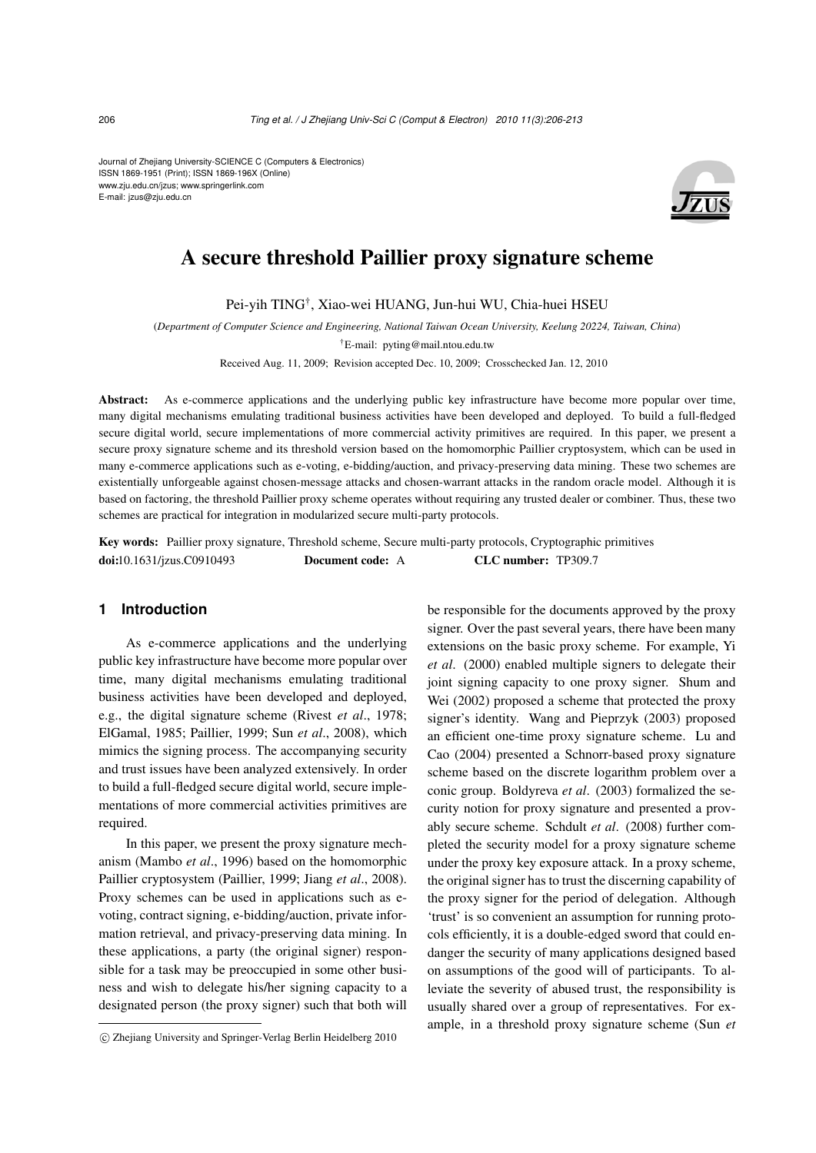Journal of Zhejiang University-SCIENCE C (Computers & Electronics) ISSN 1869-1951 (Print); ISSN 1869-196X (Online) www.zju.edu.cn/jzus; www.springerlink.com E-mail: jzus@zju.edu.cn



# A secure threshold Paillier proxy signature scheme

Pei-yih TING† , Xiao-wei HUANG, Jun-hui WU, Chia-huei HSEU

(*Department of Computer Science and Engineering, National Taiwan Ocean University, Keelung 20224, Taiwan, China*) †E-mail: pyting@mail.ntou.edu.tw Received Aug. 11, 2009; Revision accepted Dec. 10, 2009; Crosschecked Jan. 12, 2010

Abstract: As e-commerce applications and the underlying public key infrastructure have become more popular over time, many digital mechanisms emulating traditional business activities have been developed and deployed. To build a full-fledged secure digital world, secure implementations of more commercial activity primitives are required. In this paper, we present a secure proxy signature scheme and its threshold version based on the homomorphic Paillier cryptosystem, which can be used in many e-commerce applications such as e-voting, e-bidding/auction, and privacy-preserving data mining. These two schemes are existentially unforgeable against chosen-message attacks and chosen-warrant attacks in the random oracle model. Although it is based on factoring, the threshold Paillier proxy scheme operates without requiring any trusted dealer or combiner. Thus, these two schemes are practical for integration in modularized secure multi-party protocols.

Key words: Paillier proxy signature, Threshold scheme, Secure multi-party protocols, Cryptographic primitives doi:10.1631/jzus.C0910493 Document code: A CLC number: TP309.7

## **1 Introduction**

As e-commerce applications and the underlying public key infrastructure have become more popular over time, many digital mechanisms emulating traditional business activities have been developed and deployed, e.g., the digital signature scheme (Rivest *et al*., 1978; ElGamal, 1985; Paillier, 1999; Sun *et al*., 2008), which mimics the signing process. The accompanying security and trust issues have been analyzed extensively. In order to build a full-fledged secure digital world, secure implementations of more commercial activities primitives are required.

In this paper, we present the proxy signature mechanism (Mambo *et al*., 1996) based on the homomorphic Paillier cryptosystem (Paillier, 1999; Jiang *et al*., 2008). Proxy schemes can be used in applications such as evoting, contract signing, e-bidding/auction, private information retrieval, and privacy-preserving data mining. In these applications, a party (the original signer) responsible for a task may be preoccupied in some other business and wish to delegate his/her signing capacity to a designated person (the proxy signer) such that both will be responsible for the documents approved by the proxy signer. Over the past several years, there have been many extensions on the basic proxy scheme. For example, Yi *et al*. (2000) enabled multiple signers to delegate their joint signing capacity to one proxy signer. Shum and Wei (2002) proposed a scheme that protected the proxy signer's identity. Wang and Pieprzyk (2003) proposed an efficient one-time proxy signature scheme. Lu and Cao (2004) presented a Schnorr-based proxy signature scheme based on the discrete logarithm problem over a conic group. Boldyreva *et al*. (2003) formalized the security notion for proxy signature and presented a provably secure scheme. Schdult *et al*. (2008) further completed the security model for a proxy signature scheme under the proxy key exposure attack. In a proxy scheme, the original signer has to trust the discerning capability of the proxy signer for the period of delegation. Although 'trust' is so convenient an assumption for running protocols efficiently, it is a double-edged sword that could endanger the security of many applications designed based on assumptions of the good will of participants. To alleviate the severity of abused trust, the responsibility is usually shared over a group of representatives. For example, in a threshold proxy signature scheme (Sun *et*

<sup>°</sup>c Zhejiang University and Springer-Verlag Berlin Heidelberg 2010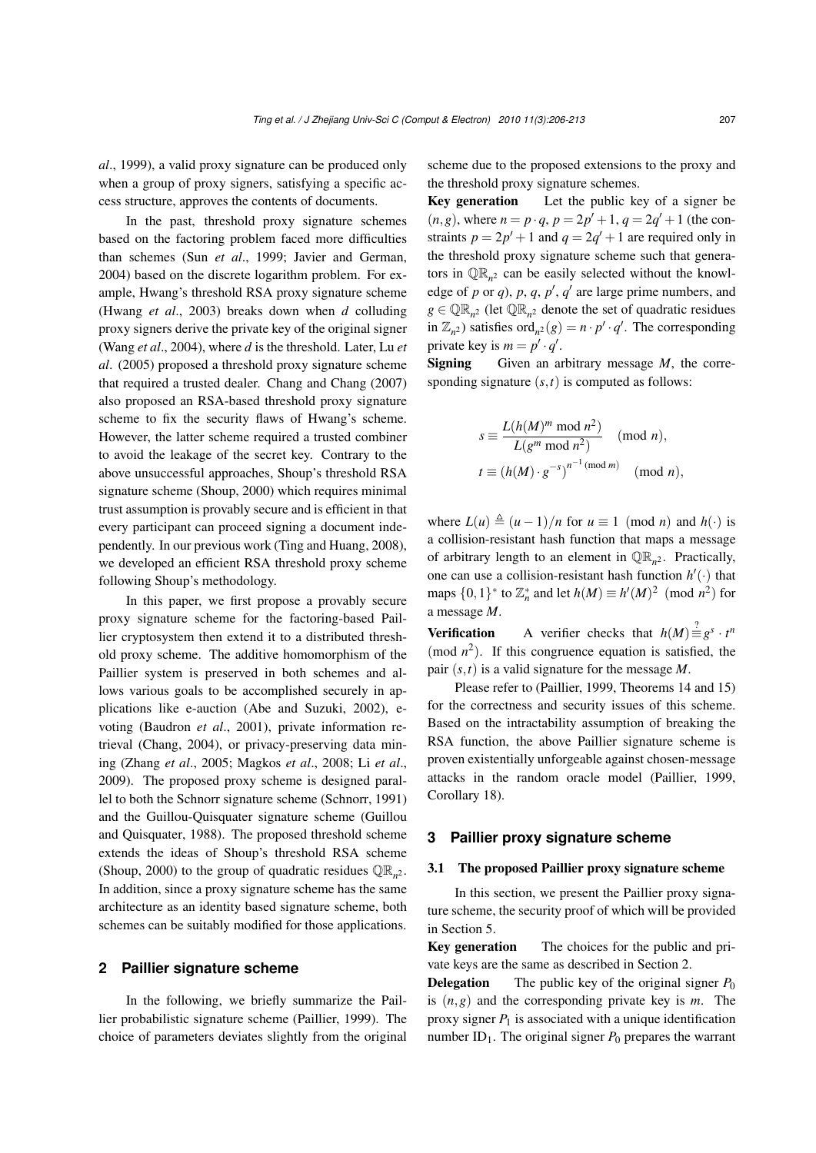*al*., 1999), a valid proxy signature can be produced only when a group of proxy signers, satisfying a specific access structure, approves the contents of documents.

In the past, threshold proxy signature schemes based on the factoring problem faced more difficulties than schemes (Sun *et al*., 1999; Javier and German, 2004) based on the discrete logarithm problem. For example, Hwang's threshold RSA proxy signature scheme (Hwang *et al*., 2003) breaks down when *d* colluding proxy signers derive the private key of the original signer (Wang *et al*., 2004), where *d* is the threshold. Later, Lu *et al*. (2005) proposed a threshold proxy signature scheme that required a trusted dealer. Chang and Chang (2007) also proposed an RSA-based threshold proxy signature scheme to fix the security flaws of Hwang's scheme. However, the latter scheme required a trusted combiner to avoid the leakage of the secret key. Contrary to the above unsuccessful approaches, Shoup's threshold RSA signature scheme (Shoup, 2000) which requires minimal trust assumption is provably secure and is efficient in that every participant can proceed signing a document independently. In our previous work (Ting and Huang, 2008), we developed an efficient RSA threshold proxy scheme following Shoup's methodology.

In this paper, we first propose a provably secure proxy signature scheme for the factoring-based Paillier cryptosystem then extend it to a distributed threshold proxy scheme. The additive homomorphism of the Paillier system is preserved in both schemes and allows various goals to be accomplished securely in applications like e-auction (Abe and Suzuki, 2002), evoting (Baudron *et al*., 2001), private information retrieval (Chang, 2004), or privacy-preserving data mining (Zhang *et al*., 2005; Magkos *et al*., 2008; Li *et al*., 2009). The proposed proxy scheme is designed parallel to both the Schnorr signature scheme (Schnorr, 1991) and the Guillou-Quisquater signature scheme (Guillou and Quisquater, 1988). The proposed threshold scheme extends the ideas of Shoup's threshold RSA scheme (Shoup, 2000) to the group of quadratic residues  $\mathbb{QR}_{n^2}$ . In addition, since a proxy signature scheme has the same architecture as an identity based signature scheme, both schemes can be suitably modified for those applications.

## **2 Paillier signature scheme**

In the following, we briefly summarize the Paillier probabilistic signature scheme (Paillier, 1999). The choice of parameters deviates slightly from the original scheme due to the proposed extensions to the proxy and the threshold proxy signature schemes.

Key generation Let the public key of a signer be  $(n, g)$ , where  $n = p \cdot q$ ,  $p = 2p' + 1$ ,  $q = 2q' + 1$  (the constraints  $p = 2p' + 1$  and  $q = 2q' + 1$  are required only in the threshold proxy signature scheme such that generators in  $\mathbb{QR}_{n^2}$  can be easily selected without the knowledge of  $p$  or  $q$ ),  $p$ ,  $q$ ,  $p'$ ,  $q'$  are large prime numbers, and  $g \in \mathbb{QR}_{n^2}$  (let  $\mathbb{QR}_{n^2}$  denote the set of quadratic residues in  $\mathbb{Z}_{n^2}$ ) satisfies  $\text{ord}_{n^2}(g) = n \cdot p' \cdot q'$ . The corresponding private key is  $m = p' \cdot q'$ .

**Signing** Given an arbitrary message *M*, the corresponding signature (*s*,*t*) is computed as follows:

$$
s \equiv \frac{L(h(M)^m \mod n^2)}{L(g^m \mod n^2)} \pmod{n},
$$
  

$$
t \equiv (h(M) \cdot g^{-s})^{n^{-1} \pmod{m}} \pmod{n},
$$

where  $L(u) \triangleq (u-1)/n$  for  $u \equiv 1 \pmod{n}$  and  $h(\cdot)$  is a collision-resistant hash function that maps a message of arbitrary length to an element in  $\mathbb{QR}_{n^2}$ . Practically, one can use a collision-resistant hash function  $h'(\cdot)$  that maps  $\{0,1\}^*$  to  $\mathbb{Z}_n^*$  and let  $h(M) \equiv h'(M)^2 \pmod{n^2}$  for a message *M*.

**Verification** A verifier checks that  $h(M) \stackrel{?}{=} g^s \cdot t^n$ (mod  $n^2$ ). If this congruence equation is satisfied, the pair (*s*,*t*) is a valid signature for the message *M*.

Please refer to (Paillier, 1999, Theorems 14 and 15) for the correctness and security issues of this scheme. Based on the intractability assumption of breaking the RSA function, the above Paillier signature scheme is proven existentially unforgeable against chosen-message attacks in the random oracle model (Paillier, 1999, Corollary 18).

## **3 Paillier proxy signature scheme**

#### 3.1 The proposed Paillier proxy signature scheme

In this section, we present the Paillier proxy signature scheme, the security proof of which will be provided in Section 5.

Key generation The choices for the public and private keys are the same as described in Section 2.

**Delegation** The public key of the original signer  $P_0$ is (*n*,*g*) and the corresponding private key is *m*. The proxy signer  $P_1$  is associated with a unique identification number  $ID_1$ . The original signer  $P_0$  prepares the warrant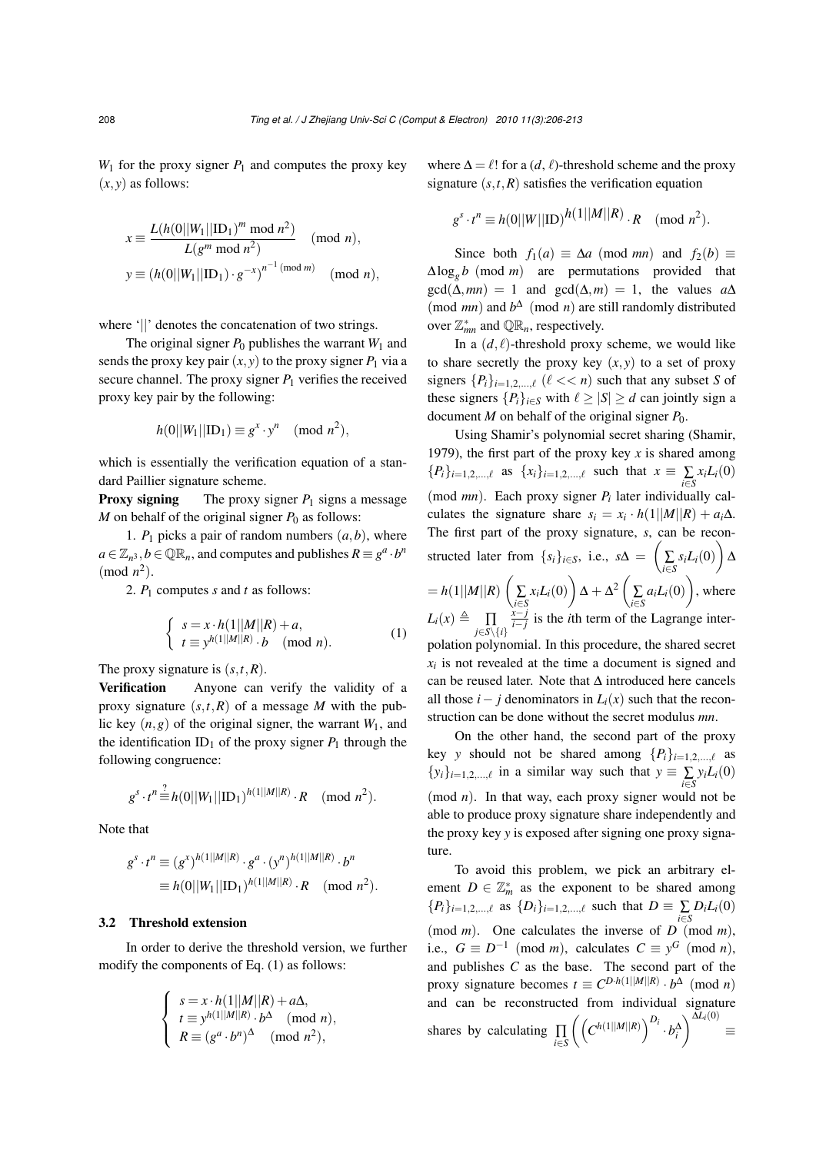$W_1$  for the proxy signer  $P_1$  and computes the proxy key  $(x, y)$  as follows:

$$
x \equiv \frac{L(h(0||W_1||\text{ID}_1)^m \text{ mod } n^2)}{L(g^m \text{ mod } n^2)} \pmod{n},
$$
  

$$
y \equiv (h(0||W_1||\text{ID}_1) \cdot g^{-x})^{n^{-1}(\text{mod } m)} \pmod{n},
$$

where '||' denotes the concatenation of two strings.

The original signer  $P_0$  publishes the warrant  $W_1$  and sends the proxy key pair  $(x, y)$  to the proxy signer  $P_1$  via a secure channel. The proxy signer  $P_1$  verifies the received proxy key pair by the following:

$$
h(0||W_1||\text{ID}_1) \equiv g^x \cdot y^n \pmod{n^2},
$$

which is essentially the verification equation of a standard Paillier signature scheme.

**Proxy signing** The proxy signer  $P_1$  signs a message *M* on behalf of the original signer  $P_0$  as follows:

1.  $P_1$  picks a pair of random numbers  $(a,b)$ , where  $a \in \mathbb{Z}_{n^3}, b \in \mathbb{QR}_n$ , and computes and publishes  $R \equiv g^a \cdot b^n$  $(mod n<sup>2</sup>)$ .

2. *P*<sup>1</sup> computes *s* and *t* as follows:

$$
\begin{cases}\ns = x \cdot h(1||M||R) + a, \\
t \equiv y^{h(1||M||R)} \cdot b \pmod{n}.\n\end{cases} (1)
$$

The proxy signature is (*s*,*t*,*R*).

Verification Anyone can verify the validity of a proxy signature  $(s,t,R)$  of a message *M* with the public key  $(n, g)$  of the original signer, the warrant  $W_1$ , and the identification  $ID_1$  of the proxy signer  $P_1$  through the following congruence:

$$
g^{s} \cdot t^{n} \stackrel{?}{=} h(0||W_1||\text{ID}_1)^{h(1||M||R)} \cdot R \pmod{n^2}.
$$

Note that

$$
g^{s} \cdot t^{n} \equiv (g^{x})^{h(1||M||R)} \cdot g^{a} \cdot (y^{n})^{h(1||M||R)} \cdot b^{n}
$$

$$
\equiv h(0||W_{1}||\text{ID}_{1})^{h(1||M||R)} \cdot R \pmod{n^{2}}.
$$

#### 3.2 Threshold extension

In order to derive the threshold version, we further modify the components of Eq. (1) as follows:

$$
\begin{cases}\ns = x \cdot h(1||M||R) + a\Delta, \\
t \equiv y^{h(1||M||R)} \cdot b^{\Delta} \pmod{n}, \\
R \equiv (g^a \cdot b^n)^{\Delta} \pmod{n^2},\n\end{cases}
$$

where  $\Delta = \ell!$  for a (*d*,  $\ell$ )-threshold scheme and the proxy signature  $(s, t, R)$  satisfies the verification equation

$$
g^{s} \cdot t^{n} \equiv h(0||W||\text{ID})^{h(1||M||R)} \cdot R \pmod{n^{2}}.
$$

Since both  $f_1(a) \equiv \Delta a \pmod{mn}$  and  $f_2(b) \equiv$  $\Delta \log_g b \pmod{m}$  are permutations provided that  $gcd(\Delta, mn) = 1$  and  $gcd(\Delta, m) = 1$ , the values  $a\Delta$ (mod *mn*) and  $b^{\Delta}$  (mod *n*) are still randomly distributed over  $\mathbb{Z}_{mn}^*$  and  $\mathbb{QR}_n$ , respectively.

In a  $(d, l)$ -threshold proxy scheme, we would like to share secretly the proxy key  $(x, y)$  to a set of proxy signers  $\{P_i\}_{i=1,2,\dots,\ell}$  ( $\ell \ll n$ ) such that any subset *S* of these signers  ${P_i}_{i \in S}$  with  $\ell \geq |S| \geq d$  can jointly sign a document *M* on behalf of the original signer *P*0.

Using Shamir's polynomial secret sharing (Shamir, 1979), the first part of the proxy key  $x$  is shared among  ${P_i}_{i=1,2,..., \ell}$  as  ${x_i}_{i=1,2,..., \ell}$  such that  $x \equiv \sum_{i \in S} x_i L_i(0)$ (mod *mn*). Each proxy signer *P<sup>i</sup>* later individually calculates the signature share  $s_i = x_i \cdot h(1||M||R) + a_i\Delta$ . The first part of the proxy signature,  $s$ , can be reconstructed later from  $\{s_i\}_{i \in S}$ , i.e.,  $s\Delta = \left(\sum_{i \in S} s_i L_i(0)\right) \Delta$  $= h(1||M||R)$  $\overline{a}$  $\sum_{i \in S} x_i L_i(0)$  $\mathbf{r}$  $\Delta + \Delta^2$  $\overline{a}$  $\sum_{i \in S} a_i L_i(0)$  $\mathbf{r}$ , where  $L_i(x) \triangleq \prod_{j \in S \setminus \{i\}}$ *x*−*j*  $\frac{x-j}{i-j}$  is the *i*th term of the Lagrange interpolation polynomial. In this procedure, the shared secret  $x_i$  is not revealed at the time a document is signed and can be reused later. Note that ∆ introduced here cancels all those  $i - j$  denominators in  $L_i(x)$  such that the reconstruction can be done without the secret modulus *mn*.

On the other hand, the second part of the proxy key *y* should not be shared among  $\{P_i\}_{i=1,2,...,\ell}$  as  $\{y_i\}_{i=1,2,\dots,\ell}$  in a similar way such that  $y \equiv \sum_{i \in S} y_i L_i(0)$ (mod *n*). In that way, each proxy signer would not be able to produce proxy signature share independently and the proxy key *y* is exposed after signing one proxy signature.

To avoid this problem, we pick an arbitrary element  $D \in \mathbb{Z}_m^*$  as the exponent to be shared among  ${P_i}_{i=1,2,..., \ell}$  as  ${D_i}_{i=1,2,..., \ell}$  such that  $D \equiv \sum D_i L_i(0)$ (mod *m*). One calculates the inverse of *D* (mod *m*), i.e.,  $G \equiv D^{-1} \pmod{m}$ , calculates  $C \equiv y^G \pmod{n}$ , and publishes *C* as the base. The second part of the proxy signature becomes  $t \equiv C^{D \cdot h(1||M||R)} \cdot b^{\Delta} \pmod{n}$ and can be reconstructed from individual signature shares by calculating ∏ *i*∈*S*  $\frac{a}{\sqrt{2}}$  $\left[ C^{h(1||M||R)} \right]^{D_{h(1)}}$  $\cdot b_i^{\Delta}$ ¶∆*Li*(0) ≡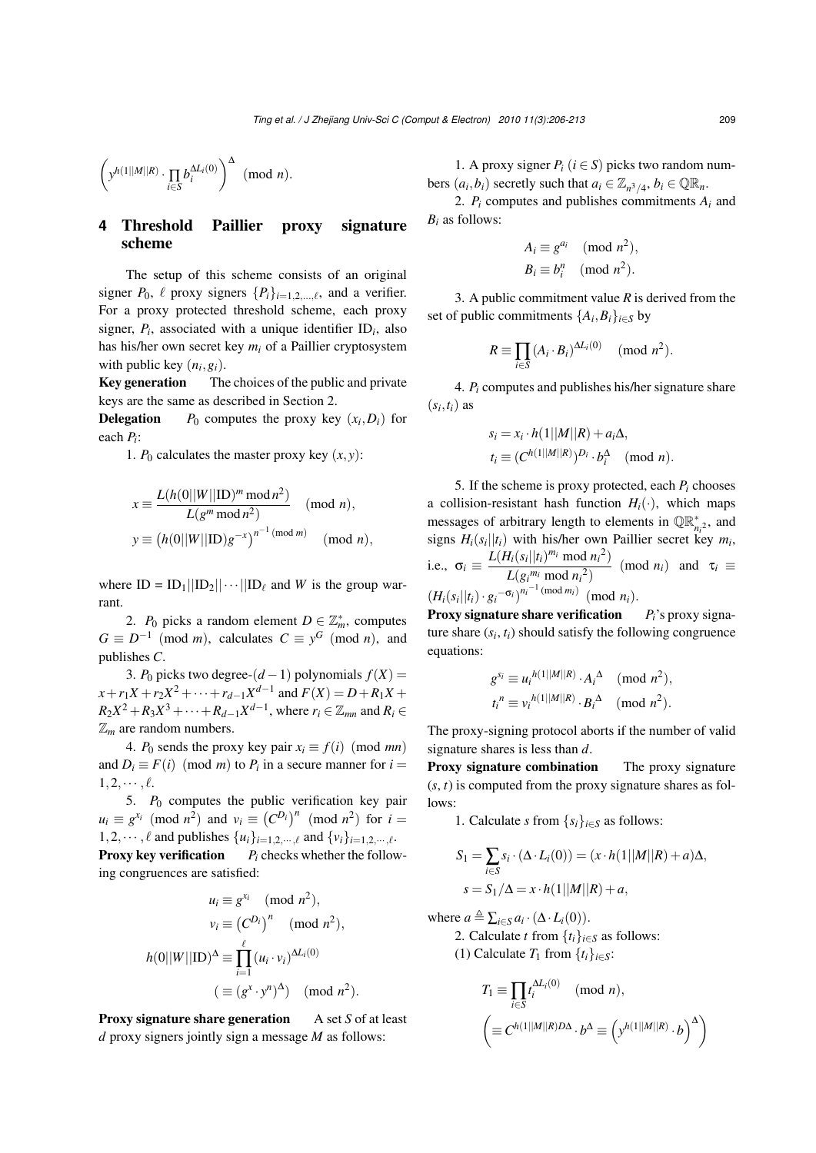$$
\left(y^{h(1||M||R)}\cdot \prod_{i\in S} b_i^{\Delta L_i(0)}\right)^\Delta \pmod{n}.
$$

# **4** Threshold Paillier proxy signature scheme

The setup of this scheme consists of an original signer  $P_0$ ,  $\ell$  proxy signers  $\{P_i\}_{i=1,2,\dots,\ell}$ , and a verifier. For a proxy protected threshold scheme, each proxy signer,  $P_i$ , associated with a unique identifier ID<sub>i</sub>, also has his/her own secret key *m<sup>i</sup>* of a Paillier cryptosystem with public key  $(n_i, g_i)$ .

Key generation The choices of the public and private keys are the same as described in Section 2.

**Delegation**  $P_0$  computes the proxy key  $(x_i, D_i)$  for each *P<sup>i</sup>* :

1.  $P_0$  calculates the master proxy key  $(x, y)$ :

$$
x \equiv \frac{L(h(0||W||\text{ID})^m \mod n^2)}{L(g^m \mod n^2)} \pmod{n},
$$
  

$$
y \equiv (h(0||W||\text{ID})g^{-x})^{n^{-1} \pmod{m}} \pmod{n},
$$

where  $ID = ID_1||ID_2|| \cdots ||ID_\ell$  and *W* is the group warrant.

2. *P*<sup>0</sup> picks a random element  $D \in \mathbb{Z}_m^*$ , computes  $G \equiv D^{-1} \pmod{m}$ , calculates  $C \equiv y^G \pmod{n}$ , and publishes *C*.

3. *P*<sub>0</sub> picks two degree- $(d-1)$  polynomials  $f(X) =$  $x + r_1X + r_2X^2 + \cdots + r_{d-1}X^{d-1}$  and  $F(X) = D + R_1X + R_2X^d$  $R_2X^2 + R_3X^3 + \cdots + R_{d-1}X^{d-1}$ , where  $r_i \in \mathbb{Z}_{mn}$  and  $R_i \in$ Z*<sup>m</sup>* are random numbers.

4. *P*<sup>0</sup> sends the proxy key pair  $x_i \equiv f(i) \pmod{mn}$ and  $D_i \equiv F(i) \pmod{m}$  to  $P_i$  in a secure manner for  $i =$  $1, 2, \cdots, \ell$ .

5.  $P_0$  computes the public verification key pair  $u_i \equiv g^{x_i} \pmod{n^2}$  and  $v_i \equiv (C^{D_i})^n \pmod{n^2}$  for  $i =$ 1,2,…, $\ell$  and publishes  $\{u_i\}_{i=1,2,\dots,\ell}$  and  $\{v_i\}_{i=1,2,\dots,\ell}$ . **Proxy key verification**  $P_i$  **checks whether the follow**ing congruences are satisfied:

$$
u_i \equiv g^{x_i} \pmod{n^2},
$$

$$
v_i \equiv (C^{D_i})^n \pmod{n^2},
$$

$$
h(0||W||\mathbf{ID})^{\Delta} \equiv \prod_{i=1}^{\ell} (u_i \cdot v_i)^{\Delta L_i(0)}
$$

$$
(\equiv (g^x \cdot y^n)^{\Delta}) \pmod{n^2}.
$$

**Proxy signature share generation** A set *S* of at least *d* proxy signers jointly sign a message *M* as follows:

1. A proxy signer  $P_i$  ( $i \in S$ ) picks two random numbers  $(a_i, b_i)$  secretly such that  $a_i \in \mathbb{Z}_{n^3/4}$ ,  $b_i \in \mathbb{QR}_n$ .

2.  $P_i$  computes and publishes commitments  $A_i$  and *B<sup>i</sup>* as follows:

$$
A_i \equiv g^{a_i} \pmod{n^2},
$$
  

$$
B_i \equiv b_i^n \pmod{n^2}.
$$

3. A public commitment value *R* is derived from the set of public commitments  $\{A_i, B_i\}_{i \in S}$  by

$$
R \equiv \prod_{i \in S} (A_i \cdot B_i)^{\Delta L_i(0)} \pmod{n^2}.
$$

4. *P<sup>i</sup>* computes and publishes his/her signature share  $(s_i, t_i)$  as

$$
s_i = x_i \cdot h(1||M||R) + a_i\Delta,
$$
  
\n
$$
t_i \equiv (C^{h(1||M||R)})^{D_i} \cdot b_i^{\Delta} \pmod{n}.
$$

5. If the scheme is proxy protected, each  $P_i$  chooses a collision-resistant hash function  $H_i(\cdot)$ , which maps messages of arbitrary length to elements in  $\mathbb{QR}_{n_i^2}^*$ , and signs  $H_i(s_i||t_i)$  with his/her own Paillier secret key  $m_i$ , i.e.,  $\sigma_i \equiv \frac{L(H_i(s_i||t_i)^{m_i} \mod n_i^2)}{L(m_i; m_i + 2)}$  $L(g_i^{m_i} \mod n_i^2)$  (mod *n<sub>i</sub>*) and  $\tau_i \equiv$  $(H_i(s_i||t_i) \cdot g_i^{-\sigma_i})^{n_i^{-1} \pmod{m_i}}$  (mod *n<sub>i</sub>*).

Proxy signature share verification *Pi*'s proxy signature share  $(s_i, t_i)$  should satisfy the following congruence equations:

$$
g^{s_i} \equiv u_i^{h(1||M||R)} \cdot A_i^{\Delta} \pmod{n^2},
$$
  

$$
t_i^n \equiv v_i^{h(1||M||R)} \cdot B_i^{\Delta} \pmod{n^2}.
$$

The proxy-signing protocol aborts if the number of valid signature shares is less than *d*.

Proxy signature combination The proxy signature  $(s, t)$  is computed from the proxy signature shares as follows:

1. Calculate *s* from  $\{s_i\}_{i \in S}$  as follows:

$$
S_1 = \sum_{i \in S} s_i \cdot (\Delta \cdot L_i(0)) = (x \cdot h(1||M||R) + a)\Delta,
$$
  

$$
s = S_1/\Delta = x \cdot h(1||M||R) + a,
$$

where  $a \triangleq \sum_{i \in S} a_i \cdot (\Delta \cdot L_i(0)).$ 

2. Calculate *t* from  $\{t_i\}_{i \in S}$  as follows: (1) Calculate  $T_1$  from  $\{t_i\}_{i \in S}$ :

$$
T_1 \equiv \prod_{i \in S} t_i^{\Delta L_i(0)} \pmod{n},
$$
  

$$
\left( \equiv C^{h(1||M||R)D\Delta} \cdot b^{\Delta} \equiv \left( y^{h(1||M||R)} \cdot b \right)^{\Delta} \right)
$$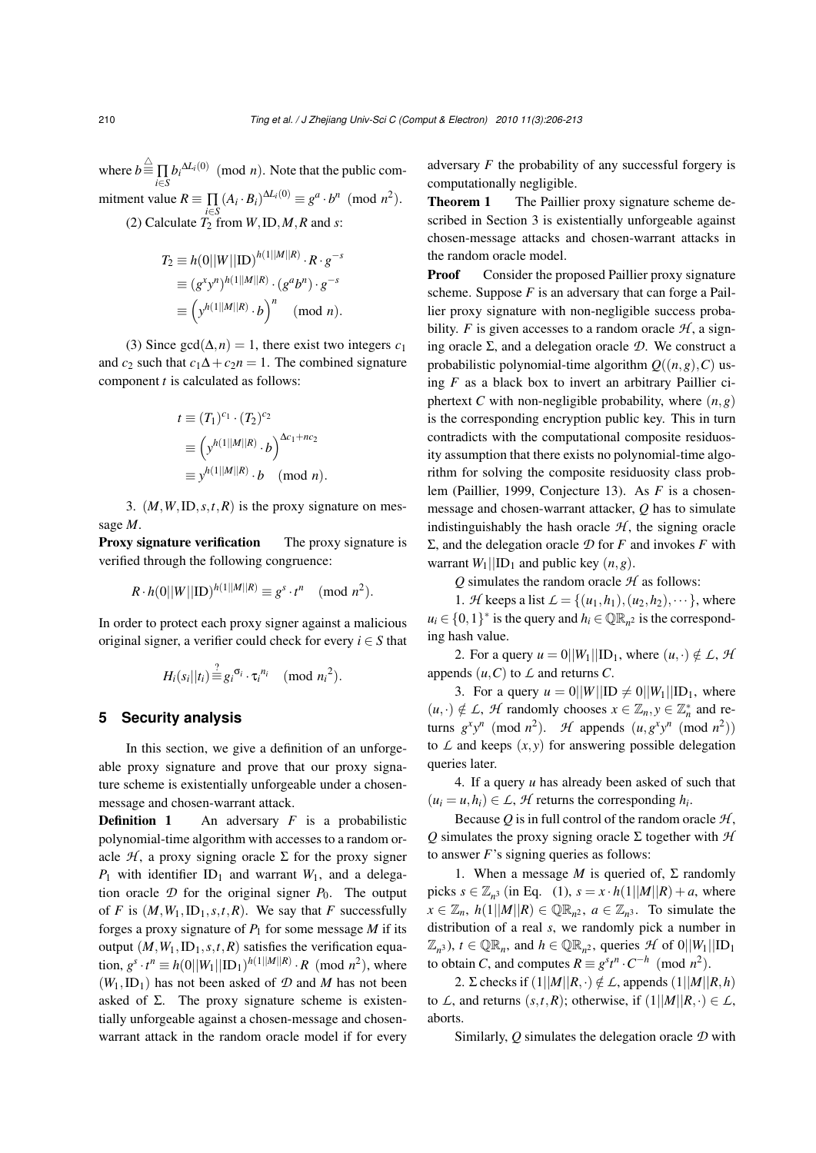where  $b \stackrel{\triangle}{=} \prod_{i \in S} b_i^{\Delta L_i(0)} \pmod{n}$ . Note that the public commitment value  $R \equiv \prod (A_i \cdot B_i)^{\Delta L_i(0)} \equiv g^a \cdot b^n \pmod{n^2}$ . (2) Calculate  $T_2$  from *W*, ID, *M*, *R* and *s*:

$$
T_2 \equiv h(0||W||\text{ID})^{h(1||M||R)} \cdot R \cdot g^{-s}
$$
  
\n
$$
\equiv (g^x y^n)^{h(1||M||R)} \cdot (g^a b^n) \cdot g^{-s}
$$
  
\n
$$
\equiv (y^{h(1||M||R)} \cdot b)^n \pmod{n}.
$$

(3) Since gcd( $\Delta$ , *n*) = 1, there exist two integers *c*<sub>1</sub> and  $c_2$  such that  $c_1\Delta + c_2n = 1$ . The combined signature component *t* is calculated as follows:

$$
t \equiv (T_1)^{c_1} \cdot (T_2)^{c_2}
$$
  
\n
$$
\equiv \left( y^{h(1||M||R)} \cdot b \right)^{\Delta c_1 + nc_2}
$$
  
\n
$$
\equiv y^{h(1||M||R)} \cdot b \pmod{n}.
$$

3. (*M*,*W*,ID,*s*,*t*,*R*) is the proxy signature on message *M*.

Proxy signature verification The proxy signature is verified through the following congruence:

$$
R \cdot h(0||W||\text{ID})^{h(1||M||R)} \equiv g^s \cdot t^n \pmod{n^2}.
$$

In order to protect each proxy signer against a malicious original signer, a verifier could check for every  $i \in S$  that

$$
H_i(s_i||t_i) \stackrel{?}{\equiv} g_i^{\sigma_i} \cdot \tau_i^{\,n_i} \pmod{n_i^2}.
$$

## **5 Security analysis**

In this section, we give a definition of an unforgeable proxy signature and prove that our proxy signature scheme is existentially unforgeable under a chosenmessage and chosen-warrant attack.

**Definition 1** An adversary *F* is a probabilistic polynomial-time algorithm with accesses to a random oracle  $H$ , a proxy signing oracle  $\Sigma$  for the proxy signer  $P_1$  with identifier ID<sub>1</sub> and warrant  $W_1$ , and a delegation oracle  $D$  for the original signer  $P_0$ . The output of *F* is  $(M, W_1, ID_1, s, t, R)$ . We say that *F* successfully forges a proxy signature of  $P_1$  for some message  $M$  if its output  $(M, W_1, ID_1, s, t, R)$  satisfies the verification equation,  $g^s \cdot t^n \equiv h(0||W_1||\text{ID}_1)^{h(1||M||R)} \cdot R \pmod{n^2}$ , where  $(W_1, ID_1)$  has not been asked of  $D$  and  $M$  has not been asked of  $\Sigma$ . The proxy signature scheme is existentially unforgeable against a chosen-message and chosenwarrant attack in the random oracle model if for every adversary *F* the probability of any successful forgery is computationally negligible.

Theorem 1 The Paillier proxy signature scheme described in Section 3 is existentially unforgeable against chosen-message attacks and chosen-warrant attacks in the random oracle model.

**Proof** Consider the proposed Paillier proxy signature scheme. Suppose *F* is an adversary that can forge a Paillier proxy signature with non-negligible success probability. *F* is given accesses to a random oracle  $H$ , a signing oracle Σ, and a delegation oracle *D*. We construct a probabilistic polynomial-time algorithm  $Q((n, g), C)$  using *F* as a black box to invert an arbitrary Paillier ciphertext *C* with non-negligible probability, where  $(n, g)$ is the corresponding encryption public key. This in turn contradicts with the computational composite residuosity assumption that there exists no polynomial-time algorithm for solving the composite residuosity class problem (Paillier, 1999, Conjecture 13). As *F* is a chosenmessage and chosen-warrant attacker, *Q* has to simulate indistinguishably the hash oracle  $H$ , the signing oracle Σ, and the delegation oracle *D* for *F* and invokes *F* with warrant  $W_1||ID_1$  and public key  $(n, g)$ .

 $Q$  simulates the random oracle  $H$  as follows:

1. *H* keeps a list  $\mathcal{L} = \{(u_1, h_1), (u_2, h_2), \cdots\}$ , where  $u_i \in \{0, 1\}^*$  is the query and  $h_i \in \mathbb{QR}_{n^2}$  is the corresponding hash value.

2. For a query  $u = 0||W_1||\text{ID}_1$ , where  $(u, \cdot) \notin L$ , *H* appends  $(u, C)$  to  $\angle$  and returns  $C$ .

3. For a query  $u = 0||W||ID \neq 0||W_1||ID_1$ , where  $(u, \cdot) \notin L$ , *H* randomly chooses  $x \in \mathbb{Z}_n, y \in \mathbb{Z}_n^*$  and returns  $g^x y^n \pmod{n^2}$ . *H* appends  $(u, g^x y^n \pmod{n^2})$ to  $\mathcal L$  and keeps  $(x, y)$  for answering possible delegation queries later.

4. If a query *u* has already been asked of such that  $(u_i = u, h_i) \in L$ , *H* returns the corresponding  $h_i$ .

Because  $Q$  is in full control of the random oracle  $H$ , *Q* simulates the proxy signing oracle Σ together with *H* to answer *F*'s signing queries as follows:

1. When a message  $M$  is queried of,  $\Sigma$  randomly picks  $s \in \mathbb{Z}_{n^3}$  (in Eq. (1),  $s = x \cdot h(1||M||R) + a$ , where  $x \in \mathbb{Z}_n$ ,  $h(1||M||R) \in \mathbb{QR}_{n^2}$ ,  $a \in \mathbb{Z}_{n^3}$ . To simulate the distribution of a real *s*, we randomly pick a number in  $(\mathbb{Z}_{n^3})$ ,  $t \in \mathbb{QR}_n$ , and  $h \in \mathbb{QR}_{n^2}$ , queries  $\mathcal{H}$  of  $0||W_1||\mathbf{ID}_1$ to obtain *C*, and computes  $R \equiv g^{s}t^{n} \cdot C^{-h}$  (mod  $n^{2}$ ).

2. Σ checks if  $(1||M||R,.) \notin L$ , appends  $(1||M||R,h)$ to *L*, and returns  $(s,t,R)$ ; otherwise, if  $(1||M||R,·)\in L$ , aborts.

Similarly, *Q* simulates the delegation oracle *D* with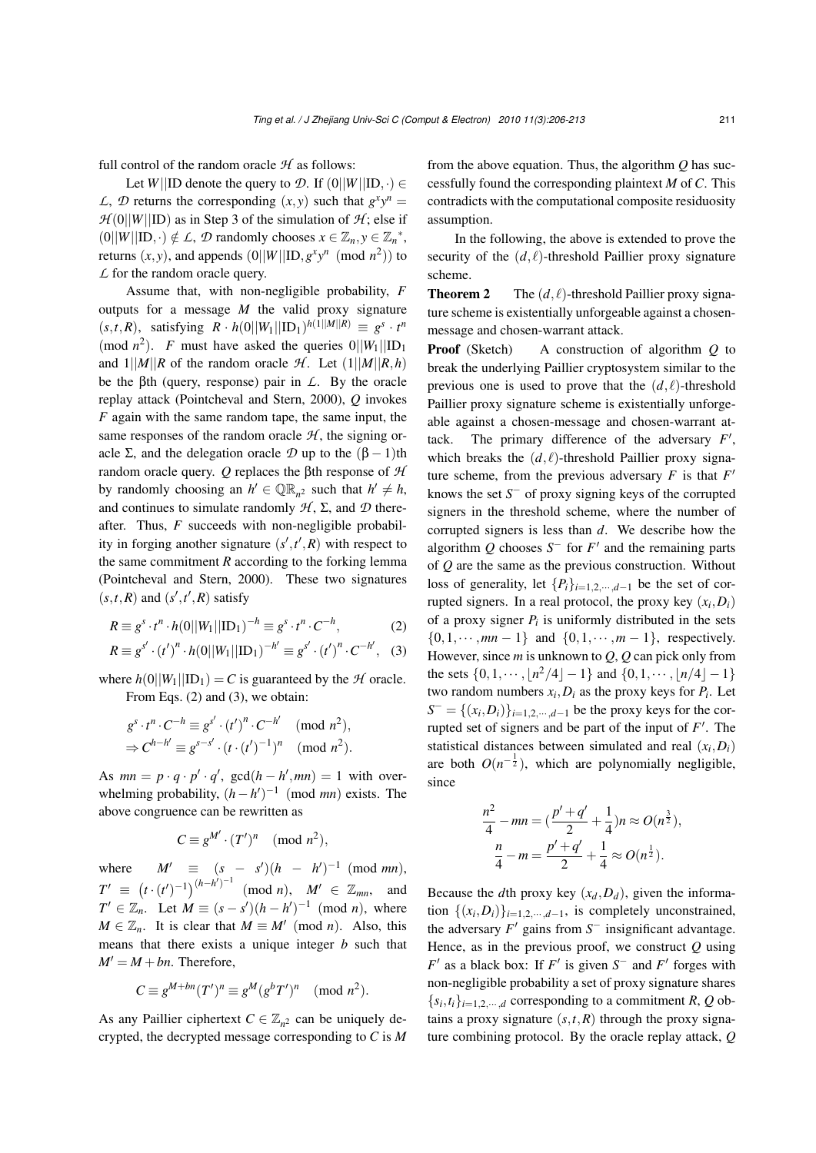full control of the random oracle  $H$  as follows:

Let *W*||ID denote the query to *D*. If  $(0||W||ID, \cdot) \in$ *L*, *D* returns the corresponding  $(x, y)$  such that  $g^x y^n =$  $H(0||W||ID)$  as in Step 3 of the simulation of  $H$ ; else if  $(0||W||ID, ·) \notin L$ , *D* randomly chooses  $x \in \mathbb{Z}_n$ ,  $y \in \mathbb{Z}_n^*$ , returns  $(x, y)$ , and appends  $(0||W||ID, g<sup>x</sup>y<sup>n</sup> \pmod{n<sup>2</sup>}$  to *L* for the random oracle query.

Assume that, with non-negligible probability, *F* outputs for a message *M* the valid proxy signature  $(s, t, R)$ , satisfying  $R \cdot h(0||W_1||\text{ID}_1)^{h(1||M||R)} \equiv g^s \cdot t^m$ (mod  $n^2$ ). *F* must have asked the queries  $0||W_1||ID_1$ and  $1||M||R$  of the random oracle *H*. Let  $(1||M||R,h)$ be the βth (query, response) pair in *L*. By the oracle replay attack (Pointcheval and Stern, 2000), *Q* invokes *F* again with the same random tape, the same input, the same responses of the random oracle  $H$ , the signing oracle  $\Sigma$ , and the delegation oracle  $\mathcal D$  up to the  $(\beta - 1)$ th random oracle query. *Q* replaces the βth response of *H* by randomly choosing an  $h' \in \mathbb{QR}_{n^2}$  such that  $h' \neq h$ , and continues to simulate randomly  $H$ ,  $\Sigma$ , and  $D$  thereafter. Thus, *F* succeeds with non-negligible probability in forging another signature  $(s', t', R)$  with respect to the same commitment  *according to the forking lemma* (Pointcheval and Stern, 2000). These two signatures  $(s, t, R)$  and  $(s', t', R)$  satisfy

$$
R \equiv g^s \cdot t^n \cdot h(0||W_1||\text{ID}_1)^{-h} \equiv g^s \cdot t^n \cdot C^{-h},\tag{2}
$$

$$
R \equiv g^{s'} \cdot (t')^{n} \cdot h(0||W_1||\text{ID}_1)^{-h'} \equiv g^{s'} \cdot (t')^{n} \cdot C^{-h'}, \quad (3)
$$

where  $h(0||W_1||ID_1) = C$  is guaranteed by the *H* oracle. From Eqs. (2) and (3), we obtain:

$$
gs \cdot tn \cdot C-h \equiv gs' \cdot (t')n \cdot C-h' \pmod{n2,\Rightarrow Ch-h' \equiv gs-s' \cdot (t \cdot (t')-1)n \pmod{n2.
$$

As  $mn = p \cdot q \cdot p' \cdot q'$ ,  $gcd(h - h', mn) = 1$  with overwhelming probability,  $(h - h')^{-1}$  (mod *mn*) exists. The above congruence can be rewritten as

$$
C \equiv g^{M'} \cdot (T')^n \pmod{n^2},
$$

where  $M' \equiv (s - s')(h - h')^{-1} \pmod{mn}$ ,  $T' \equiv ($  $(t \cdot (t')^{-1})^{(h-h')-1}$  (mod *n*),  $M' \in \mathbb{Z}_{mn}$ , and  $T' \in \mathbb{Z}_n$ . Let  $M \equiv (s - s')(h - h')^{-1} \pmod{n}$ , where  $M \in \mathbb{Z}_n$ . It is clear that  $M \equiv M' \pmod{n}$ . Also, this means that there exists a unique integer *b* such that  $M' = M + bn$ . Therefore,

$$
C \equiv g^{M+bn}(T')^n \equiv g^M(g^bT')^n \pmod{n^2}.
$$

As any Paillier ciphertext  $C \in \mathbb{Z}_{n^2}$  can be uniquely decrypted, the decrypted message corresponding to *C* is *M* from the above equation. Thus, the algorithm *Q* has successfully found the corresponding plaintext *M* of *C*. This contradicts with the computational composite residuosity assumption.

In the following, the above is extended to prove the security of the  $(d, l)$ -threshold Paillier proxy signature scheme.

**Theorem 2** The  $(d, l)$ -threshold Paillier proxy signature scheme is existentially unforgeable against a chosenmessage and chosen-warrant attack.

Proof (Sketch) A construction of algorithm *Q* to break the underlying Paillier cryptosystem similar to the previous one is used to prove that the  $(d, l)$ -threshold Paillier proxy signature scheme is existentially unforgeable against a chosen-message and chosen-warrant attack. The primary difference of the adversary  $F'$ , which breaks the  $(d, l)$ -threshold Paillier proxy signature scheme, from the previous adversary  $F$  is that  $F'$ knows the set  $S^-$  of proxy signing keys of the corrupted signers in the threshold scheme, where the number of corrupted signers is less than *d*. We describe how the algorithm  $Q$  chooses  $S^-$  for  $F'$  and the remaining parts of *Q* are the same as the previous construction. Without loss of generality, let  $\{P_i\}_{i=1,2,\dots,d-1}$  be the set of corrupted signers. In a real protocol, the proxy key  $(x_i, D_i)$ of a proxy signer  $P_i$  is uniformly distributed in the sets  $\{0,1,\dots,mn-1\}$  and  $\{0,1,\dots,m-1\}$ , respectively. However, since *m* is unknown to *Q*, *Q* can pick only from the sets  $\{0, 1, \dots, |n^2/4| - 1\}$  and  $\{0, 1, \dots, |n/4| - 1\}$ two random numbers  $x_i$ ,  $D_i$  as the proxy keys for  $P_i$ . Let  $S^- = \{(x_i, D_i)\}_{i=1,2,\dots,d-1}$  be the proxy keys for the corrupted set of signers and be part of the input of  $F'$ . The statistical distances between simulated and real  $(x_i, D_i)$ are both  $O(n^{-\frac{1}{2}})$ , which are polynomially negligible, since

$$
\frac{n^2}{4} - mn = \left(\frac{p' + q'}{2} + \frac{1}{4}\right)n \approx O(n^{\frac{3}{2}}),
$$

$$
\frac{n}{4} - m = \frac{p' + q'}{2} + \frac{1}{4} \approx O(n^{\frac{1}{2}}).
$$

Because the *d*th proxy key  $(x_d, D_d)$ , given the information  $\{(x_i, D_i)\}_{i=1,2,\dots,d-1}$ , is completely unconstrained, the adversary  $F'$  gains from  $S^-$  insignificant advantage. Hence, as in the previous proof, we construct *Q* using  $F'$  as a black box: If  $F'$  is given  $S^-$  and  $F'$  forges with non-negligible probability a set of proxy signature shares  ${s_i, t_i}_{i=1,2,\dots,d}$  corresponding to a commitment *R*, *Q* obtains a proxy signature  $(s, t, R)$  through the proxy signature combining protocol. By the oracle replay attack, *Q*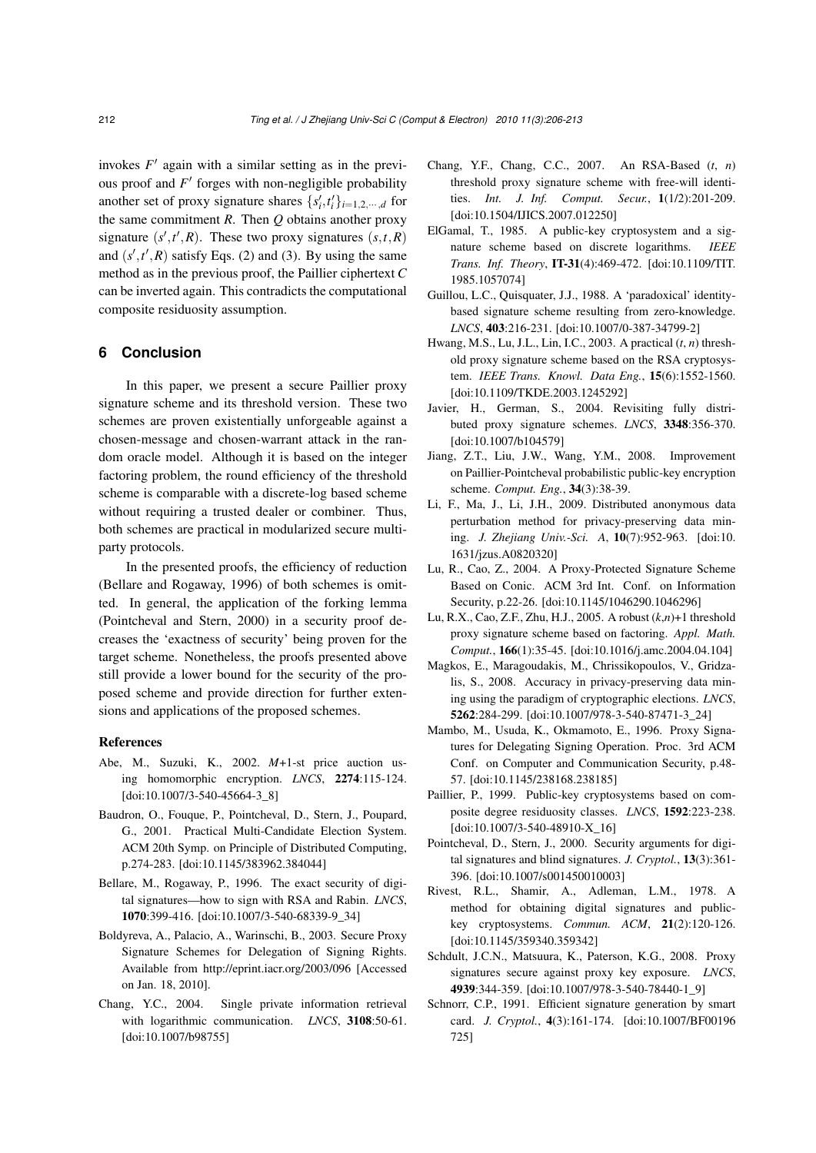invokes  $F'$  again with a similar setting as in the previous proof and  $F'$  forges with non-negligible probability another set of proxy signature shares  $\{s'_i, t'_i\}_{i=1,2,\dots,d}$  for the same commitment *R*. Then *Q* obtains another proxy signature  $(s', t', R)$ . These two proxy signatures  $(s, t, R)$ and  $(s', t', R)$  satisfy Eqs. (2) and (3). By using the same method as in the previous proof, the Paillier ciphertext *C* can be inverted again. This contradicts the computational composite residuosity assumption.

## **6 Conclusion**

In this paper, we present a secure Paillier proxy signature scheme and its threshold version. These two schemes are proven existentially unforgeable against a chosen-message and chosen-warrant attack in the random oracle model. Although it is based on the integer factoring problem, the round efficiency of the threshold scheme is comparable with a discrete-log based scheme without requiring a trusted dealer or combiner. Thus, both schemes are practical in modularized secure multiparty protocols.

In the presented proofs, the efficiency of reduction (Bellare and Rogaway, 1996) of both schemes is omitted. In general, the application of the forking lemma (Pointcheval and Stern, 2000) in a security proof decreases the 'exactness of security' being proven for the target scheme. Nonetheless, the proofs presented above still provide a lower bound for the security of the proposed scheme and provide direction for further extensions and applications of the proposed schemes.

## References

- Abe, M., Suzuki, K., 2002. *M*+1-st price auction using homomorphic encryption. *LNCS*, 2274:115-124. [doi:10.1007/3-540-45664-3\_8]
- Baudron, O., Fouque, P., Pointcheval, D., Stern, J., Poupard, G., 2001. Practical Multi-Candidate Election System. ACM 20th Symp. on Principle of Distributed Computing, p.274-283. [doi:10.1145/383962.384044]
- Bellare, M., Rogaway, P., 1996. The exact security of digital signatures—how to sign with RSA and Rabin. *LNCS*, 1070:399-416. [doi:10.1007/3-540-68339-9\_34]
- Boldyreva, A., Palacio, A., Warinschi, B., 2003. Secure Proxy Signature Schemes for Delegation of Signing Rights. Available from http://eprint.iacr.org/2003/096 [Accessed on Jan. 18, 2010].
- Chang, Y.C., 2004. Single private information retrieval with logarithmic communication. *LNCS*, 3108:50-61. [doi:10.1007/b98755]
- Chang, Y.F., Chang, C.C., 2007. An RSA-Based (*t*, *n*) threshold proxy signature scheme with free-will identities. *Int. J. Inf. Comput. Secur.*, 1(1/2):201-209. [doi:10.1504/IJICS.2007.012250]
- ElGamal, T., 1985. A public-key cryptosystem and a signature scheme based on discrete logarithms. *IEEE Trans. Inf. Theory*, IT-31(4):469-472. [doi:10.1109/TIT. 1985.1057074]
- Guillou, L.C., Quisquater, J.J., 1988. A 'paradoxical' identitybased signature scheme resulting from zero-knowledge. *LNCS*, 403:216-231. [doi:10.1007/0-387-34799-2]
- Hwang, M.S., Lu, J.L., Lin, I.C., 2003. A practical (*t*, *n*) threshold proxy signature scheme based on the RSA cryptosystem. *IEEE Trans. Knowl. Data Eng.*, 15(6):1552-1560. [doi:10.1109/TKDE.2003.1245292]
- Javier, H., German, S., 2004. Revisiting fully distributed proxy signature schemes. *LNCS*, 3348:356-370. [doi:10.1007/b104579]
- Jiang, Z.T., Liu, J.W., Wang, Y.M., 2008. Improvement on Paillier-Pointcheval probabilistic public-key encryption scheme. *Comput. Eng.*, 34(3):38-39.
- Li, F., Ma, J., Li, J.H., 2009. Distributed anonymous data perturbation method for privacy-preserving data mining. *J. Zhejiang Univ.-Sci. A*, 10(7):952-963. [doi:10. 1631/jzus.A0820320]
- Lu, R., Cao, Z., 2004. A Proxy-Protected Signature Scheme Based on Conic. ACM 3rd Int. Conf. on Information Security, p.22-26. [doi:10.1145/1046290.1046296]
- Lu, R.X., Cao, Z.F., Zhu, H.J., 2005. A robust (*k*,*n*)+1 threshold proxy signature scheme based on factoring. *Appl. Math. Comput.*, 166(1):35-45. [doi:10.1016/j.amc.2004.04.104]
- Magkos, E., Maragoudakis, M., Chrissikopoulos, V., Gridzalis, S., 2008. Accuracy in privacy-preserving data mining using the paradigm of cryptographic elections. *LNCS*, 5262:284-299. [doi:10.1007/978-3-540-87471-3\_24]
- Mambo, M., Usuda, K., Okmamoto, E., 1996. Proxy Signatures for Delegating Signing Operation. Proc. 3rd ACM Conf. on Computer and Communication Security, p.48- 57. [doi:10.1145/238168.238185]
- Paillier, P., 1999. Public-key cryptosystems based on composite degree residuosity classes. *LNCS*, 1592:223-238. [doi:10.1007/3-540-48910-X\_16]
- Pointcheval, D., Stern, J., 2000. Security arguments for digital signatures and blind signatures. *J. Cryptol.*, 13(3):361- 396. [doi:10.1007/s001450010003]
- Rivest, R.L., Shamir, A., Adleman, L.M., 1978. A method for obtaining digital signatures and publickey cryptosystems. *Commun. ACM*, 21(2):120-126. [doi:10.1145/359340.359342]
- Schdult, J.C.N., Matsuura, K., Paterson, K.G., 2008. Proxy signatures secure against proxy key exposure. *LNCS*, 4939:344-359. [doi:10.1007/978-3-540-78440-1\_9]
- Schnorr, C.P., 1991. Efficient signature generation by smart card. *J. Cryptol.*, 4(3):161-174. [doi:10.1007/BF00196 725]